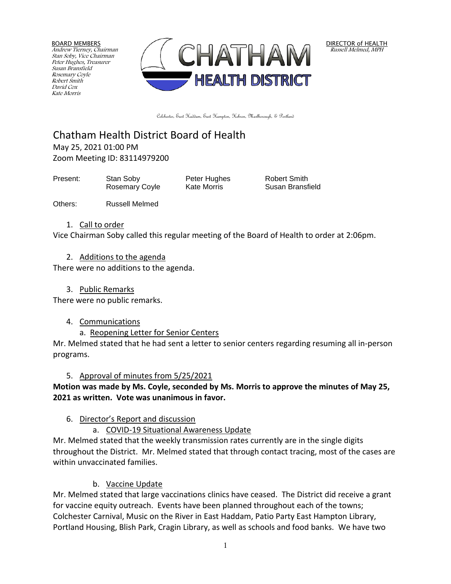BOARD MEMBERS Andrew Tierney, Chairman Stan Soby, Vice Chairman Peter Hughes, Treasurer Susan Bransfield Rosemary Coyle Robert Smith David Cox Kate Morris



DIRECTOR of HEALTH Russell Melmed, MPH

Colchester, East Haddam, East Hampton, Hebron, Marlborough, & Portland

Chatham Health District Board of Health May 25, 2021 01:00 PM

Zoom Meeting ID: 83114979200

Present: Stan Soby Peter Hughes Robert Smith

Rosemary Coyle Kate Morris Susan Bransfield

Others: Russell Melmed

## 1. Call to order

Vice Chairman Soby called this regular meeting of the Board of Health to order at 2:06pm.

## 2. Additions to the agenda

There were no additions to the agenda.

3. Public Remarks

There were no public remarks.

## 4. Communications

a. Reopening Letter for Senior Centers

Mr. Melmed stated that he had sent a letter to senior centers regarding resuming all in-person programs.

# 5. Approval of minutes from 5/25/2021

**Motion was made by Ms. Coyle, seconded by Ms. Morris to approve the minutes of May 25, 2021 as written. Vote was unanimous in favor.**

# 6. Director's Report and discussion

a. COVID-19 Situational Awareness Update

Mr. Melmed stated that the weekly transmission rates currently are in the single digits throughout the District. Mr. Melmed stated that through contact tracing, most of the cases are within unvaccinated families.

# b. Vaccine Update

Mr. Melmed stated that large vaccinations clinics have ceased. The District did receive a grant for vaccine equity outreach. Events have been planned throughout each of the towns; Colchester Carnival, Music on the River in East Haddam, Patio Party East Hampton Library, Portland Housing, Blish Park, Cragin Library, as well as schools and food banks. We have two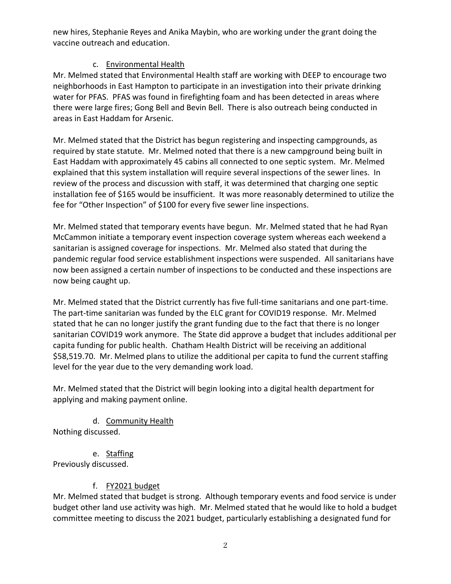new hires, Stephanie Reyes and Anika Maybin, who are working under the grant doing the vaccine outreach and education.

## c. Environmental Health

Mr. Melmed stated that Environmental Health staff are working with DEEP to encourage two neighborhoods in East Hampton to participate in an investigation into their private drinking water for PFAS. PFAS was found in firefighting foam and has been detected in areas where there were large fires; Gong Bell and Bevin Bell. There is also outreach being conducted in areas in East Haddam for Arsenic.

Mr. Melmed stated that the District has begun registering and inspecting campgrounds, as required by state statute. Mr. Melmed noted that there is a new campground being built in East Haddam with approximately 45 cabins all connected to one septic system. Mr. Melmed explained that this system installation will require several inspections of the sewer lines. In review of the process and discussion with staff, it was determined that charging one septic installation fee of \$165 would be insufficient. It was more reasonably determined to utilize the fee for "Other Inspection" of \$100 for every five sewer line inspections.

Mr. Melmed stated that temporary events have begun. Mr. Melmed stated that he had Ryan McCammon initiate a temporary event inspection coverage system whereas each weekend a sanitarian is assigned coverage for inspections. Mr. Melmed also stated that during the pandemic regular food service establishment inspections were suspended. All sanitarians have now been assigned a certain number of inspections to be conducted and these inspections are now being caught up.

Mr. Melmed stated that the District currently has five full-time sanitarians and one part-time. The part-time sanitarian was funded by the ELC grant for COVID19 response. Mr. Melmed stated that he can no longer justify the grant funding due to the fact that there is no longer sanitarian COVID19 work anymore. The State did approve a budget that includes additional per capita funding for public health. Chatham Health District will be receiving an additional \$58,519.70. Mr. Melmed plans to utilize the additional per capita to fund the current staffing level for the year due to the very demanding work load.

Mr. Melmed stated that the District will begin looking into a digital health department for applying and making payment online.

d. Community Health

Nothing discussed.

e. Staffing

Previously discussed.

# f. FY2021 budget

Mr. Melmed stated that budget is strong. Although temporary events and food service is under budget other land use activity was high. Mr. Melmed stated that he would like to hold a budget committee meeting to discuss the 2021 budget, particularly establishing a designated fund for